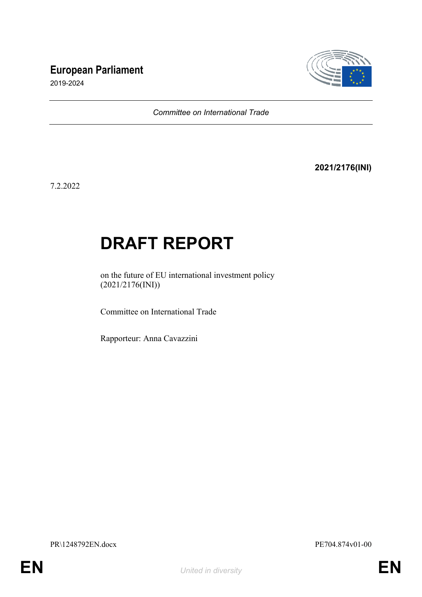# **European Parliament**



2019-2024

*Committee on International Trade*

**2021/2176(INI)**

7.2.2022

# **DRAFT REPORT**

on the future of EU international investment policy (2021/2176(INI))

Committee on International Trade

Rapporteur: Anna Cavazzini

PR\1248792EN.docx PE704.874v01-00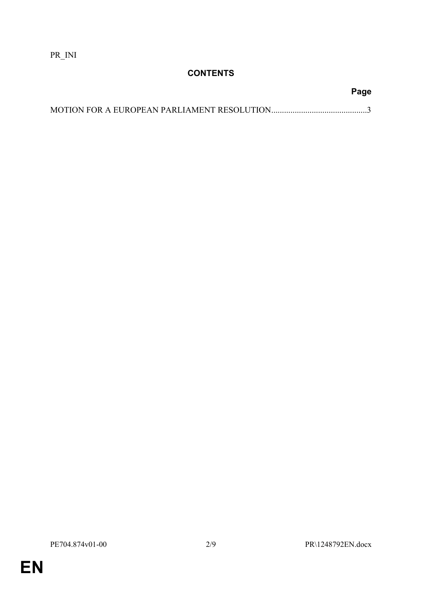PR\_INI

# **CONTENTS**

**EN**

**Page**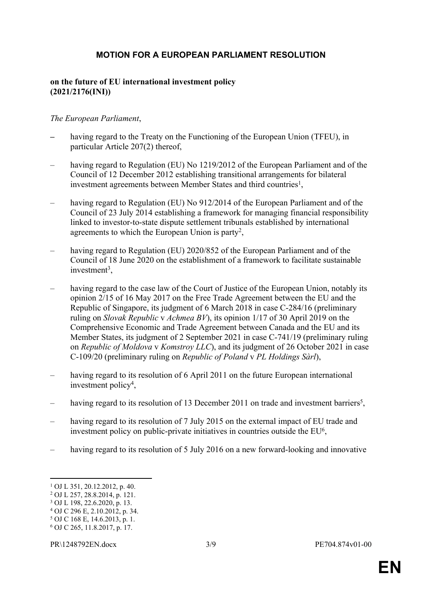# <span id="page-2-0"></span>**MOTION FOR A EUROPEAN PARLIAMENT RESOLUTION**

#### **on the future of EU international investment policy (2021/2176(INI))**

#### *The European Parliament*,

- **–** having regard to the Treaty on the Functioning of the European Union (TFEU), in particular Article 207(2) thereof,
- having regard to Regulation (EU) No 1219/2012 of the European Parliament and of the Council of 12 December 2012 establishing transitional arrangements for bilateral investment agreements between Member States and third countries<sup>1</sup>,
- having regard to Regulation (EU) No 912/2014 of the European Parliament and of the Council of 23 July 2014 establishing a framework for managing financial responsibility linked to investor-to-state dispute settlement tribunals established by international agreements to which the European Union is party<sup>2</sup>,
- having regard to Regulation (EU) 2020/852 of the European Parliament and of the Council of 18 June 2020 on the establishment of a framework to facilitate sustainable investment<sup>3</sup>,
- having regard to the case law of the Court of Justice of the European Union, notably its opinion 2/15 of 16 May 2017 on the Free Trade Agreement between the EU and the Republic of Singapore, its judgment of 6 March 2018 in case C-284/16 (preliminary ruling on *Slovak Republic* v *Achmea BV*), its opinion 1/17 of 30 April 2019 on the Comprehensive Economic and Trade Agreement between Canada and the EU and its Member States, its judgment of 2 September 2021 in case C-741/19 (preliminary ruling on *Republic of Moldova* v *Komstroy LLC*), and its judgment of 26 October 2021 in case C-109/20 (preliminary ruling on *Republic of Poland* v *PL Holdings Sàrl*),
- having regard to its resolution of 6 April 2011 on the future European international investment policy<sup>4</sup> ,
- having regard to its resolution of 13 December 2011 on trade and investment barriers<sup>5</sup>,
- having regard to its resolution of 7 July 2015 on the external impact of EU trade and investment policy on public-private initiatives in countries outside the EU<sup>6</sup>,
- having regard to its resolution of 5 July 2016 on a new forward-looking and innovative

<sup>1</sup> OJ L 351, 20.12.2012, p. 40.

<sup>2</sup> OJ L 257, 28.8.2014, p. 121.

<sup>3</sup> OJ L 198, 22.6.2020, p. 13.

<sup>4</sup> OJ C 296 E, 2.10.2012, p. 34.

<sup>5</sup> OJ C 168 E, 14.6.2013, p. 1.

<sup>6</sup> OJ C 265, 11.8.2017, p. 17.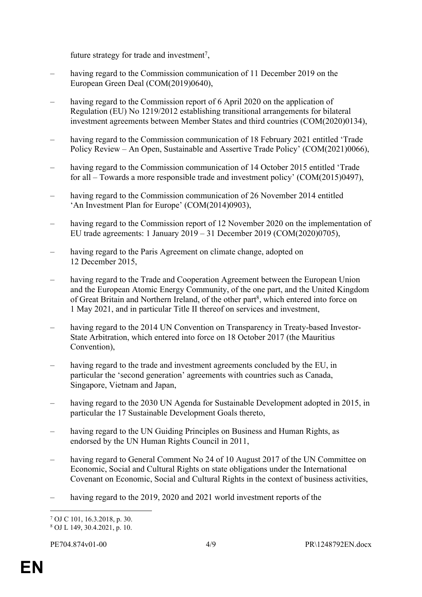future strategy for trade and investment<sup>7</sup>,

- having regard to the Commission communication of 11 December 2019 on the European Green Deal (COM(2019)0640),
- having regard to the Commission report of 6 April 2020 on the application of Regulation (EU) No 1219/2012 establishing transitional arrangements for bilateral investment agreements between Member States and third countries (COM(2020)0134),
- having regard to the Commission communication of 18 February 2021 entitled 'Trade Policy Review – An Open, Sustainable and Assertive Trade Policy' (COM(2021)0066),
- having regard to the Commission communication of 14 October 2015 entitled 'Trade for all – Towards a more responsible trade and investment policy' (COM(2015)0497),
- having regard to the Commission communication of 26 November 2014 entitled 'An Investment Plan for Europe' (COM(2014)0903),
- having regard to the Commission report of 12 November 2020 on the implementation of EU trade agreements: 1 January 2019 – 31 December 2019 (COM(2020)0705),
- having regard to the Paris Agreement on climate change, adopted on 12 December 2015,
- having regard to the Trade and Cooperation Agreement between the European Union and the European Atomic Energy Community, of the one part, and the United Kingdom of Great Britain and Northern Ireland, of the other part<sup>8</sup>, which entered into force on 1 May 2021, and in particular Title II thereof on services and investment,
- having regard to the 2014 UN Convention on Transparency in Treaty-based Investor-State Arbitration, which entered into force on 18 October 2017 (the Mauritius Convention),
- having regard to the trade and investment agreements concluded by the EU, in particular the 'second generation' agreements with countries such as Canada, Singapore, Vietnam and Japan,
- having regard to the 2030 UN Agenda for Sustainable Development adopted in 2015, in particular the 17 Sustainable Development Goals thereto,
- having regard to the UN Guiding Principles on Business and Human Rights, as endorsed by the UN Human Rights Council in 2011,
- having regard to General Comment No 24 of 10 August 2017 of the UN Committee on Economic, Social and Cultural Rights on state obligations under the International Covenant on Economic, Social and Cultural Rights in the context of business activities,
- having regard to the 2019, 2020 and 2021 world investment reports of the

<sup>7</sup> OJ C 101, 16.3.2018, p. 30.

<sup>8</sup> OJ L 149, 30.4.2021, p. 10.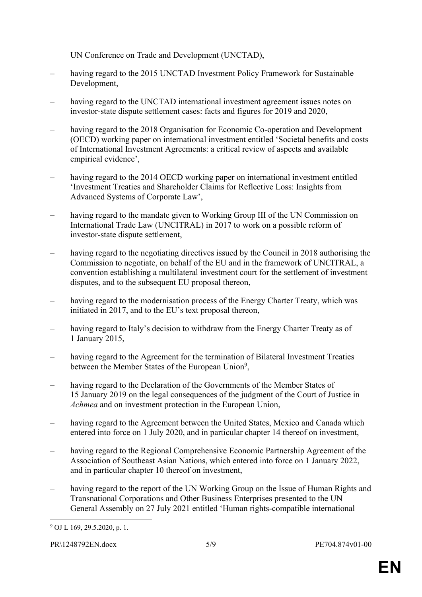UN Conference on Trade and Development (UNCTAD),

- having regard to the 2015 UNCTAD Investment Policy Framework for Sustainable Development,
- having regard to the UNCTAD international investment agreement issues notes on investor-state dispute settlement cases: facts and figures for 2019 and 2020,
- having regard to the 2018 Organisation for Economic Co-operation and Development (OECD) working paper on international investment entitled 'Societal benefits and costs of International Investment Agreements: a critical review of aspects and available empirical evidence',
- having regard to the 2014 OECD working paper on international investment entitled 'Investment Treaties and Shareholder Claims for Reflective Loss: Insights from Advanced Systems of Corporate Law',
- having regard to the mandate given to Working Group III of the UN Commission on International Trade Law (UNCITRAL) in 2017 to work on a possible reform of investor-state dispute settlement,
- having regard to the negotiating directives issued by the Council in 2018 authorising the Commission to negotiate, on behalf of the EU and in the framework of UNCITRAL, a convention establishing a multilateral investment court for the settlement of investment disputes, and to the subsequent EU proposal thereon,
- having regard to the modernisation process of the Energy Charter Treaty, which was initiated in 2017, and to the EU's text proposal thereon,
- having regard to Italy's decision to withdraw from the Energy Charter Treaty as of 1 January 2015,
- having regard to the Agreement for the termination of Bilateral Investment Treaties between the Member States of the European Union<sup>9</sup>,
- having regard to the Declaration of the Governments of the Member States of 15 January 2019 on the legal consequences of the judgment of the Court of Justice in *Achmea* and on investment protection in the European Union,
- having regard to the Agreement between the United States, Mexico and Canada which entered into force on 1 July 2020, and in particular chapter 14 thereof on investment,
- having regard to the Regional Comprehensive Economic Partnership Agreement of the Association of Southeast Asian Nations, which entered into force on 1 January 2022, and in particular chapter 10 thereof on investment,
- having regard to the report of the UN Working Group on the Issue of Human Rights and Transnational Corporations and Other Business Enterprises presented to the UN General Assembly on 27 July 2021 entitled 'Human rights-compatible international

<sup>9</sup> OJ L 169, 29.5.2020, p. 1.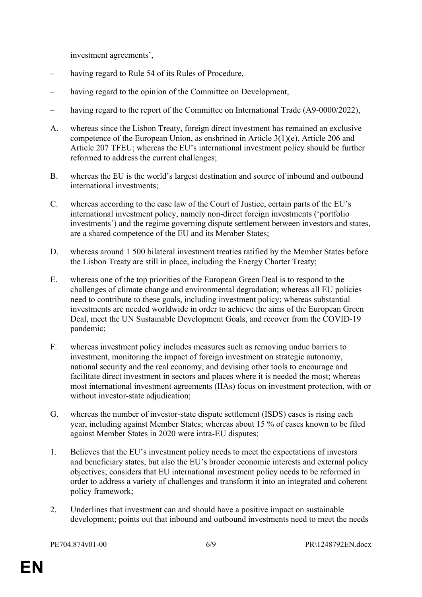investment agreements',

- having regard to Rule 54 of its Rules of Procedure,
- having regard to the opinion of the Committee on Development,
- having regard to the report of the Committee on International Trade (A9-0000/2022),
- A. whereas since the Lisbon Treaty, foreign direct investment has remained an exclusive competence of the European Union, as enshrined in Article 3(1)(e), Article 206 and Article 207 TFEU; whereas the EU's international investment policy should be further reformed to address the current challenges;
- B. whereas the EU is the world's largest destination and source of inbound and outbound international investments;
- C. whereas according to the case law of the Court of Justice, certain parts of the EU's international investment policy, namely non-direct foreign investments ('portfolio investments') and the regime governing dispute settlement between investors and states, are a shared competence of the EU and its Member States;
- D. whereas around 1 500 bilateral investment treaties ratified by the Member States before the Lisbon Treaty are still in place, including the Energy Charter Treaty;
- E. whereas one of the top priorities of the European Green Deal is to respond to the challenges of climate change and environmental degradation; whereas all EU policies need to contribute to these goals, including investment policy; whereas substantial investments are needed worldwide in order to achieve the aims of the European Green Deal, meet the UN Sustainable Development Goals, and recover from the COVID-19 pandemic;
- F. whereas investment policy includes measures such as removing undue barriers to investment, monitoring the impact of foreign investment on strategic autonomy, national security and the real economy, and devising other tools to encourage and facilitate direct investment in sectors and places where it is needed the most; whereas most international investment agreements (IIAs) focus on investment protection, with or without investor-state adjudication;
- G. whereas the number of investor-state dispute settlement (ISDS) cases is rising each year, including against Member States; whereas about 15 % of cases known to be filed against Member States in 2020 were intra-EU disputes;
- 1. Believes that the EU's investment policy needs to meet the expectations of investors and beneficiary states, but also the EU's broader economic interests and external policy objectives; considers that EU international investment policy needs to be reformed in order to address a variety of challenges and transform it into an integrated and coherent policy framework;
- 2. Underlines that investment can and should have a positive impact on sustainable development; points out that inbound and outbound investments need to meet the needs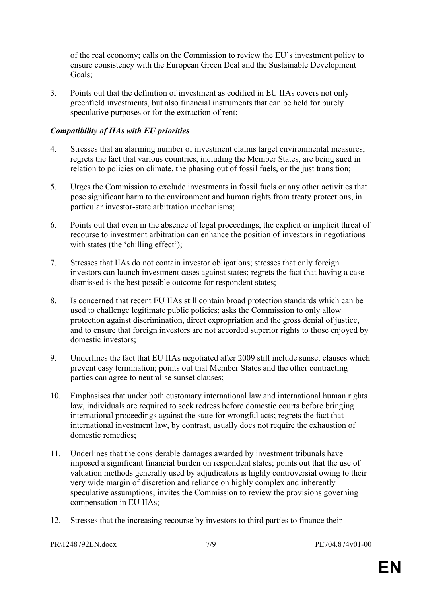of the real economy; calls on the Commission to review the EU's investment policy to ensure consistency with the European Green Deal and the Sustainable Development Goals;

3. Points out that the definition of investment as codified in EU IIAs covers not only greenfield investments, but also financial instruments that can be held for purely speculative purposes or for the extraction of rent;

#### *Compatibility of IIAs with EU priorities*

- 4. Stresses that an alarming number of investment claims target environmental measures; regrets the fact that various countries, including the Member States, are being sued in relation to policies on climate, the phasing out of fossil fuels, or the just transition;
- 5. Urges the Commission to exclude investments in fossil fuels or any other activities that pose significant harm to the environment and human rights from treaty protections, in particular investor-state arbitration mechanisms;
- 6. Points out that even in the absence of legal proceedings, the explicit or implicit threat of recourse to investment arbitration can enhance the position of investors in negotiations with states (the 'chilling effect');
- 7. Stresses that IIAs do not contain investor obligations; stresses that only foreign investors can launch investment cases against states; regrets the fact that having a case dismissed is the best possible outcome for respondent states;
- 8. Is concerned that recent EU IIAs still contain broad protection standards which can be used to challenge legitimate public policies; asks the Commission to only allow protection against discrimination, direct expropriation and the gross denial of justice, and to ensure that foreign investors are not accorded superior rights to those enjoyed by domestic investors:
- 9. Underlines the fact that EU IIAs negotiated after 2009 still include sunset clauses which prevent easy termination; points out that Member States and the other contracting parties can agree to neutralise sunset clauses;
- 10. Emphasises that under both customary international law and international human rights law, individuals are required to seek redress before domestic courts before bringing international proceedings against the state for wrongful acts; regrets the fact that international investment law, by contrast, usually does not require the exhaustion of domestic remedies;
- 11. Underlines that the considerable damages awarded by investment tribunals have imposed a significant financial burden on respondent states; points out that the use of valuation methods generally used by adjudicators is highly controversial owing to their very wide margin of discretion and reliance on highly complex and inherently speculative assumptions; invites the Commission to review the provisions governing compensation in EU IIAs;
- 12. Stresses that the increasing recourse by investors to third parties to finance their

PR\1248792EN.docx 7/9 PE704.874v01-00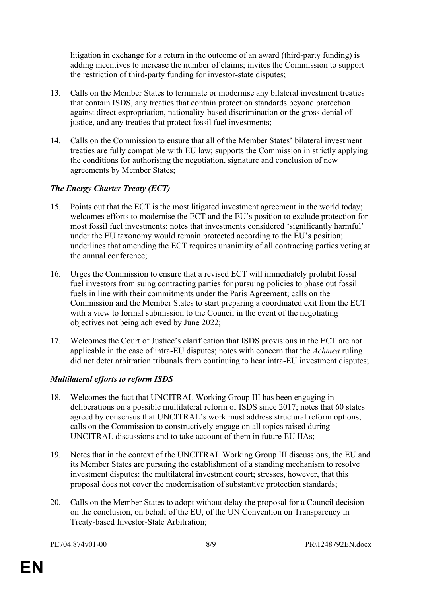litigation in exchange for a return in the outcome of an award (third-party funding) is adding incentives to increase the number of claims; invites the Commission to support the restriction of third-party funding for investor-state disputes;

- 13. Calls on the Member States to terminate or modernise any bilateral investment treaties that contain ISDS, any treaties that contain protection standards beyond protection against direct expropriation, nationality-based discrimination or the gross denial of justice, and any treaties that protect fossil fuel investments;
- 14. Calls on the Commission to ensure that all of the Member States' bilateral investment treaties are fully compatible with EU law; supports the Commission in strictly applying the conditions for authorising the negotiation, signature and conclusion of new agreements by Member States;

## *The Energy Charter Treaty (ECT)*

- 15. Points out that the ECT is the most litigated investment agreement in the world today; welcomes efforts to modernise the ECT and the EU's position to exclude protection for most fossil fuel investments; notes that investments considered 'significantly harmful' under the EU taxonomy would remain protected according to the EU's position; underlines that amending the ECT requires unanimity of all contracting parties voting at the annual conference;
- 16. Urges the Commission to ensure that a revised ECT will immediately prohibit fossil fuel investors from suing contracting parties for pursuing policies to phase out fossil fuels in line with their commitments under the Paris Agreement; calls on the Commission and the Member States to start preparing a coordinated exit from the ECT with a view to formal submission to the Council in the event of the negotiating objectives not being achieved by June 2022;
- 17. Welcomes the Court of Justice's clarification that ISDS provisions in the ECT are not applicable in the case of intra-EU disputes; notes with concern that the *Achmea* ruling did not deter arbitration tribunals from continuing to hear intra-EU investment disputes;

## *Multilateral efforts to reform ISDS*

- 18. Welcomes the fact that UNCITRAL Working Group III has been engaging in deliberations on a possible multilateral reform of ISDS since 2017; notes that 60 states agreed by consensus that UNCITRAL's work must address structural reform options; calls on the Commission to constructively engage on all topics raised during UNCITRAL discussions and to take account of them in future EU IIAs;
- 19. Notes that in the context of the UNCITRAL Working Group III discussions, the EU and its Member States are pursuing the establishment of a standing mechanism to resolve investment disputes: the multilateral investment court; stresses, however, that this proposal does not cover the modernisation of substantive protection standards;
- 20. Calls on the Member States to adopt without delay the proposal for a Council decision on the conclusion, on behalf of the EU, of the UN Convention on Transparency in Treaty-based Investor-State Arbitration;